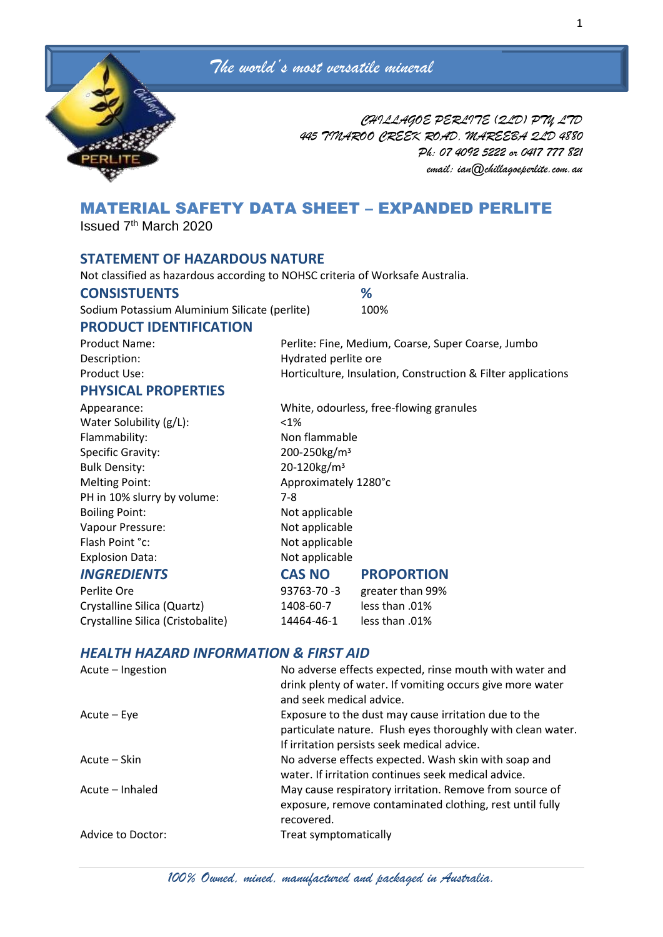



*CHILLAGOE PERLITE (QLD) PTY LTD 445 TINAROO CREEK ROAD, MAREEBA QLD 4880 Ph: 07 4092 5222 or 0417 777 821 email: ian@chillagoeperlite.com.au*

# MATERIAL SAFETY DATA SHEET – EXPANDED PERLITE

Issued 7th March 2020

## **STATEMENT OF HAZARDOUS NATURE**

Not classified as hazardous according to NOHSC criteria of Worksafe Australia.

### **CONSISTUENTS %**

Sodium Potassium Aluminium Silicate (perlite) 100%

## **PRODUCT IDENTIFICATION**

| <b>Product Name:</b> | Perlite: Fine, Medium, Coarse, Super Coarse, Jumbo           |
|----------------------|--------------------------------------------------------------|
| Description:         | Hydrated perlite ore                                         |
| Product Use:         | Horticulture, Insulation, Construction & Filter applications |
| BUNGIAAL BRABERTIEA  |                                                              |

### **PHYSICAL PROPERTIES**

Water Solubility (g/L): <1% Flammability: Non flammable Specific Gravity: 200-250kg/m<sup>3</sup> Bulk Density: 20-120kg/m<sup>3</sup> Melting Point: Approximately 1280°c PH in 10% slurry by volume: 7-8 Boiling Point: Not applicable Vapour Pressure: Not applicable Flash Point °c: Not applicable Explosion Data: Not applicable

Crystalline Silica (Quartz) 1408-60-7 less than .01% Crystalline Silica (Cristobalite) 14464-46-1 less than .01%

Appearance: White, odourless, free-flowing granules *INGREDIENTS* **CAS NO PROPORTION**

Perlite Ore **193763-70 -3** greater than 99%

## *HEALTH HAZARD INFORMATION & FIRST AID*

| Acute – Ingestion | No adverse effects expected, rinse mouth with water and<br>drink plenty of water. If vomiting occurs give more water<br>and seek medical advice.                   |
|-------------------|--------------------------------------------------------------------------------------------------------------------------------------------------------------------|
| Acute – Eye       | Exposure to the dust may cause irritation due to the<br>particulate nature. Flush eyes thoroughly with clean water.<br>If irritation persists seek medical advice. |
| Acute – Skin      | No adverse effects expected. Wash skin with soap and<br>water. If irritation continues seek medical advice.                                                        |
| Acute – Inhaled   | May cause respiratory irritation. Remove from source of<br>exposure, remove contaminated clothing, rest until fully<br>recovered.                                  |
| Advice to Doctor: | Treat symptomatically                                                                                                                                              |